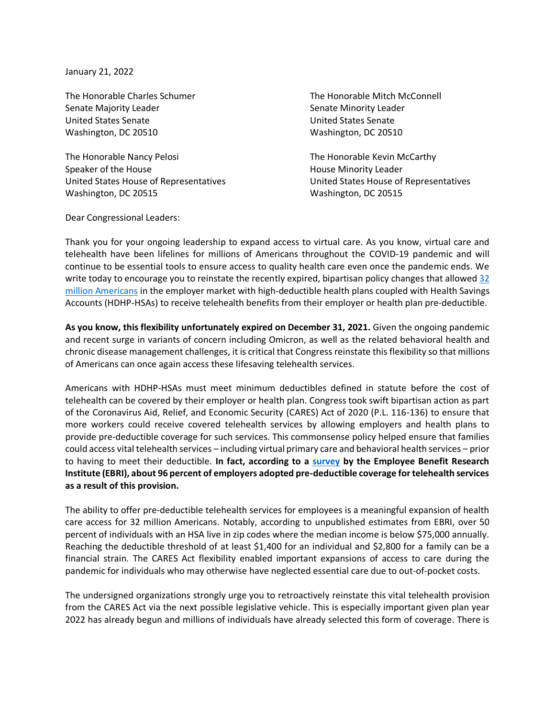January 21, 2022

Senate Majority Leader Senate Minority Leader Senate Minority Leader United States Senate United States Senate Washington, DC 20510 Washington, DC 20510

The Honorable Nancy Pelosi **The Honorable Kevin McCarthy** Speaker of the House **House House House Minority Leader** United States House of Representatives United States House of Representatives Washington, DC 20515 Washington, DC 20515

The Honorable Charles Schumer The Honorable Mitch McConnell

Dear Congressional Leaders:

Thank you for your ongoing leadership to expand access to virtual care. As you know, virtual care and telehealth have been lifelines for millions of Americans throughout the COVID-19 pandemic and will continue to be essential tools to ensure access to quality health care even once the pandemic ends. We write today to encourage you to reinstate the recently expired, bipartisan policy changes that allowed  $32$ [million Americans](https://www.ahip.org/wp-content/uploads/202109-AHIP_HDHP-Survey-v03.pdf) in the employer market with high-deductible health plans coupled with Health Savings Accounts (HDHP-HSAs) to receive telehealth benefits from their employer or health plan pre-deductible.

**As you know, this flexibility unfortunately expired on December 31, 2021.** Given the ongoing pandemic and recent surge in variants of concern including Omicron, as well as the related behavioral health and chronic disease management challenges, it is critical that Congress reinstate this flexibility so that millions of Americans can once again access these lifesaving telehealth services.

Americans with HDHP-HSAs must meet minimum deductibles defined in statute before the cost of telehealth can be covered by their employer or health plan. Congress took swift bipartisan action as part of the Coronavirus Aid, Relief, and Economic Security (CARES) Act of 2020 (P.L. 116-136) to ensure that more workers could receive covered telehealth services by allowing employers and health plans to provide pre-deductible coverage for such services. This commonsense policy helped ensure that families could access vital telehealth services – including virtual primary care and behavioral health services – prior to having to meet their deductible. **In fact, according to a [survey](https://www.ebri.org/docs/default-source/ebri-issue-brief/ebri_ib_542_hsaemployersur-14oct21.pdf?sfvrsn=73563b2f_6) by the Employee Benefit Research Institute (EBRI), about 96 percent of employers adopted pre-deductible coverage for telehealth services as a result of this provision.**

The ability to offer pre-deductible telehealth services for employees is a meaningful expansion of health care access for 32 million Americans. Notably, according to unpublished estimates from EBRI, over 50 percent of individuals with an HSA live in zip codes where the median income is below \$75,000 annually. Reaching the deductible threshold of at least \$1,400 for an individual and \$2,800 for a family can be a financial strain. The CARES Act flexibility enabled important expansions of access to care during the pandemic for individuals who may otherwise have neglected essential care due to out-of-pocket costs.

The undersigned organizations strongly urge you to retroactively reinstate this vital telehealth provision from the CARES Act via the next possible legislative vehicle. This is especially important given plan year 2022 has already begun and millions of individuals have already selected this form of coverage. There is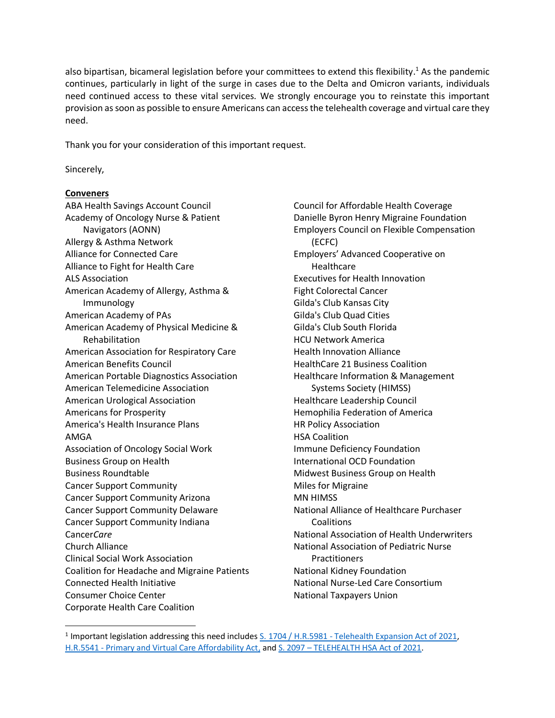also bipartisan, bicameral legislation before your committees to extend this flexibility.<sup>1</sup> As the pandemic continues, particularly in light of the surge in cases due to the Delta and Omicron variants, individuals need continued access to these vital services. We strongly encourage you to reinstate this important provision as soon as possible to ensure Americans can access the telehealth coverage and virtual care they need.

Thank you for your consideration of this important request.

Sincerely,

## **Conveners**

ABA Health Savings Account Council Academy of Oncology Nurse & Patient Navigators (AONN) Allergy & Asthma Network Alliance for Connected Care Alliance to Fight for Health Care ALS Association American Academy of Allergy, Asthma & Immunology American Academy of PAs American Academy of Physical Medicine & Rehabilitation American Association for Respiratory Care American Benefits Council American Portable Diagnostics Association American Telemedicine Association American Urological Association Americans for Prosperity America's Health Insurance Plans AMGA Association of Oncology Social Work Business Group on Health Business Roundtable Cancer Support Community Cancer Support Community Arizona Cancer Support Community Delaware Cancer Support Community Indiana Cancer*Care* Church Alliance Clinical Social Work Association Coalition for Headache and Migraine Patients Connected Health Initiative Consumer Choice Center Corporate Health Care Coalition

Council for Affordable Health Coverage Danielle Byron Henry Migraine Foundation Employers Council on Flexible Compensation (ECFC) Employers' Advanced Cooperative on Healthcare Executives for Health Innovation Fight Colorectal Cancer Gilda's Club Kansas City Gilda's Club Quad Cities Gilda's Club South Florida HCU Network America Health Innovation Alliance HealthCare 21 Business Coalition Healthcare Information & Management Systems Society (HIMSS) Healthcare Leadership Council Hemophilia Federation of America HR Policy Association HSA Coalition Immune Deficiency Foundation International OCD Foundation Midwest Business Group on Health Miles for Migraine MN HIMSS National Alliance of Healthcare Purchaser **Coalitions** National Association of Health Underwriters National Association of Pediatric Nurse **Practitioners** National Kidney Foundation National Nurse-Led Care Consortium National Taxpayers Union

<sup>&</sup>lt;sup>1</sup> Important legislation addressing this need includes S. 1704 / H.R.5981 - [Telehealth Expansion Act of 2021,](https://www.congress.gov/bill/117th-congress/senate-bill/1704) H.R.5541 - [Primary and Virtual Care Affordability Act,](https://www.congress.gov/bill/117th-congress/house-bill/5541) and S. 2097 – [TELEHEALTH HSA Act of 2021.](https://www.congress.gov/bill/117th-congress/senate-bill/2097?q=%7B%22search%22%3A%5B%22s.+2097%22%2C%22s.%22%2C%222097%22%5D%7D&s=1&r=1)